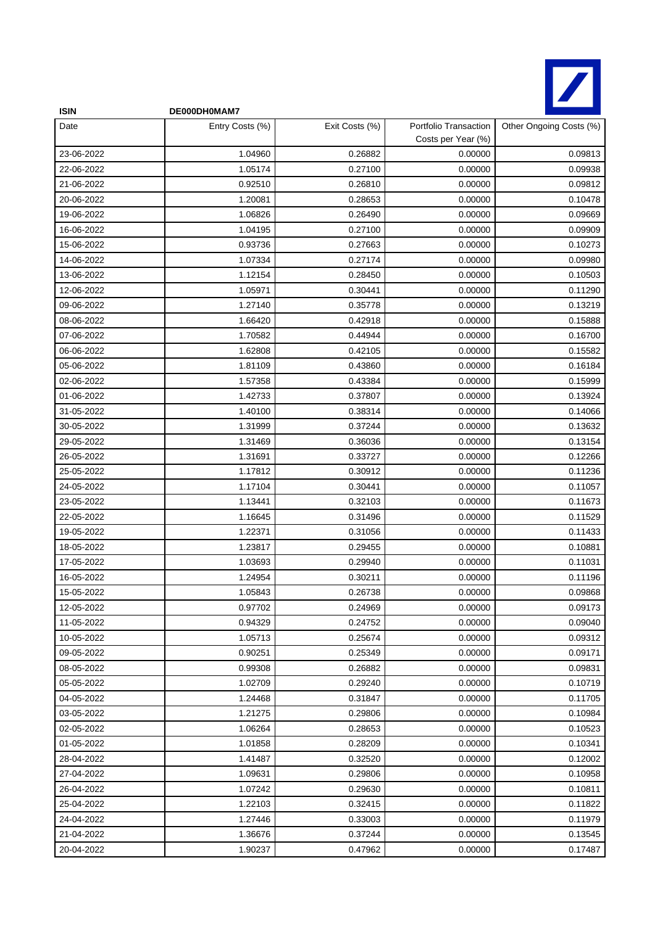

| <b>ISIN</b> | DE000DH0MAM7    |                |                                             |                         |
|-------------|-----------------|----------------|---------------------------------------------|-------------------------|
| Date        | Entry Costs (%) | Exit Costs (%) | Portfolio Transaction<br>Costs per Year (%) | Other Ongoing Costs (%) |
| 23-06-2022  | 1.04960         | 0.26882        | 0.00000                                     | 0.09813                 |
| 22-06-2022  | 1.05174         | 0.27100        | 0.00000                                     | 0.09938                 |
| 21-06-2022  | 0.92510         | 0.26810        | 0.00000                                     | 0.09812                 |
| 20-06-2022  | 1.20081         | 0.28653        | 0.00000                                     | 0.10478                 |
| 19-06-2022  | 1.06826         | 0.26490        | 0.00000                                     | 0.09669                 |
| 16-06-2022  | 1.04195         | 0.27100        | 0.00000                                     | 0.09909                 |
| 15-06-2022  | 0.93736         | 0.27663        | 0.00000                                     | 0.10273                 |
| 14-06-2022  | 1.07334         | 0.27174        | 0.00000                                     | 0.09980                 |
| 13-06-2022  | 1.12154         | 0.28450        | 0.00000                                     | 0.10503                 |
| 12-06-2022  | 1.05971         | 0.30441        | 0.00000                                     | 0.11290                 |
| 09-06-2022  | 1.27140         | 0.35778        | 0.00000                                     | 0.13219                 |
| 08-06-2022  | 1.66420         | 0.42918        | 0.00000                                     | 0.15888                 |
| 07-06-2022  | 1.70582         | 0.44944        | 0.00000                                     | 0.16700                 |
| 06-06-2022  | 1.62808         | 0.42105        | 0.00000                                     | 0.15582                 |
| 05-06-2022  | 1.81109         | 0.43860        | 0.00000                                     | 0.16184                 |
| 02-06-2022  | 1.57358         | 0.43384        | 0.00000                                     | 0.15999                 |
| 01-06-2022  | 1.42733         | 0.37807        | 0.00000                                     | 0.13924                 |
| 31-05-2022  | 1.40100         | 0.38314        | 0.00000                                     | 0.14066                 |
| 30-05-2022  | 1.31999         | 0.37244        | 0.00000                                     | 0.13632                 |
| 29-05-2022  | 1.31469         | 0.36036        | 0.00000                                     | 0.13154                 |
| 26-05-2022  | 1.31691         | 0.33727        | 0.00000                                     | 0.12266                 |
| 25-05-2022  | 1.17812         | 0.30912        | 0.00000                                     | 0.11236                 |
| 24-05-2022  | 1.17104         | 0.30441        | 0.00000                                     | 0.11057                 |
| 23-05-2022  | 1.13441         | 0.32103        | 0.00000                                     | 0.11673                 |
| 22-05-2022  | 1.16645         | 0.31496        | 0.00000                                     | 0.11529                 |
| 19-05-2022  | 1.22371         | 0.31056        | 0.00000                                     | 0.11433                 |
| 18-05-2022  | 1.23817         | 0.29455        | 0.00000                                     | 0.10881                 |
| 17-05-2022  | 1.03693         | 0.29940        | 0.00000                                     | 0.11031                 |
| 16-05-2022  | 1.24954         | 0.30211        | 0.00000                                     | 0.11196                 |
| 15-05-2022  | 1.05843         | 0.26738        | 0.00000                                     | 0.09868                 |
| 12-05-2022  | 0.97702         | 0.24969        | 0.00000                                     | 0.09173                 |
| 11-05-2022  | 0.94329         | 0.24752        | 0.00000                                     | 0.09040                 |
| 10-05-2022  | 1.05713         | 0.25674        | 0.00000                                     | 0.09312                 |
| 09-05-2022  | 0.90251         | 0.25349        | 0.00000                                     | 0.09171                 |
| 08-05-2022  | 0.99308         | 0.26882        | 0.00000                                     | 0.09831                 |
| 05-05-2022  | 1.02709         | 0.29240        | 0.00000                                     | 0.10719                 |
| 04-05-2022  | 1.24468         | 0.31847        | 0.00000                                     | 0.11705                 |
| 03-05-2022  | 1.21275         | 0.29806        | 0.00000                                     | 0.10984                 |
| 02-05-2022  | 1.06264         | 0.28653        | 0.00000                                     | 0.10523                 |
| 01-05-2022  | 1.01858         | 0.28209        | 0.00000                                     | 0.10341                 |
| 28-04-2022  | 1.41487         | 0.32520        | 0.00000                                     | 0.12002                 |
| 27-04-2022  | 1.09631         | 0.29806        | 0.00000                                     | 0.10958                 |
| 26-04-2022  | 1.07242         | 0.29630        | 0.00000                                     | 0.10811                 |
| 25-04-2022  | 1.22103         | 0.32415        | 0.00000                                     | 0.11822                 |
| 24-04-2022  | 1.27446         | 0.33003        | 0.00000                                     | 0.11979                 |
| 21-04-2022  | 1.36676         | 0.37244        | 0.00000                                     | 0.13545                 |
| 20-04-2022  | 1.90237         | 0.47962        | 0.00000                                     | 0.17487                 |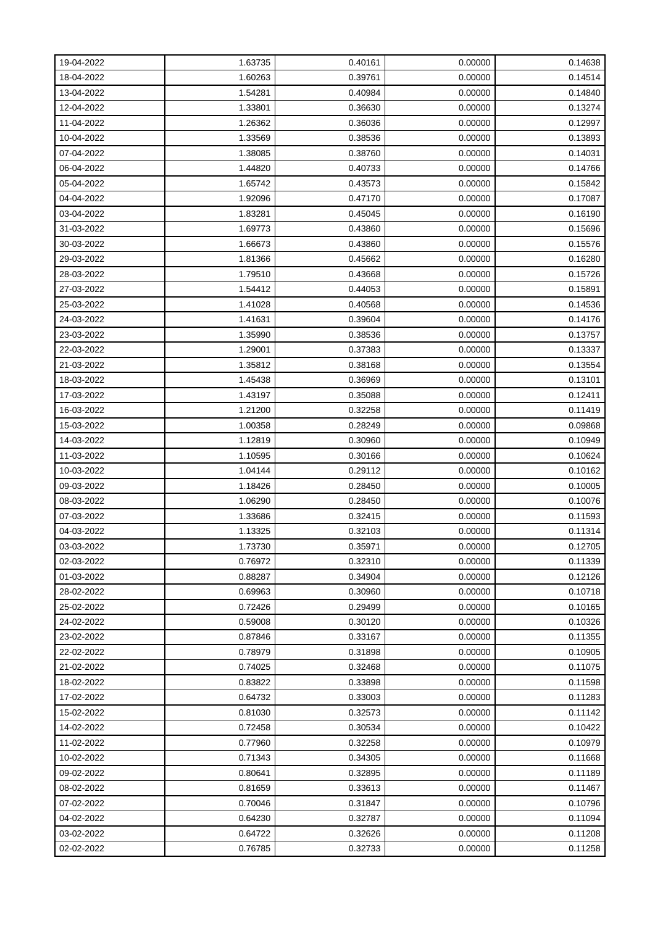| 19-04-2022 | 1.63735 | 0.40161 | 0.00000 | 0.14638 |
|------------|---------|---------|---------|---------|
| 18-04-2022 | 1.60263 | 0.39761 | 0.00000 | 0.14514 |
| 13-04-2022 | 1.54281 | 0.40984 | 0.00000 | 0.14840 |
| 12-04-2022 | 1.33801 | 0.36630 | 0.00000 | 0.13274 |
| 11-04-2022 | 1.26362 | 0.36036 | 0.00000 | 0.12997 |
| 10-04-2022 | 1.33569 | 0.38536 | 0.00000 | 0.13893 |
| 07-04-2022 | 1.38085 | 0.38760 | 0.00000 | 0.14031 |
| 06-04-2022 | 1.44820 | 0.40733 | 0.00000 | 0.14766 |
| 05-04-2022 | 1.65742 | 0.43573 | 0.00000 | 0.15842 |
| 04-04-2022 | 1.92096 | 0.47170 | 0.00000 | 0.17087 |
| 03-04-2022 | 1.83281 | 0.45045 | 0.00000 | 0.16190 |
| 31-03-2022 | 1.69773 | 0.43860 | 0.00000 | 0.15696 |
| 30-03-2022 | 1.66673 | 0.43860 | 0.00000 | 0.15576 |
| 29-03-2022 | 1.81366 | 0.45662 | 0.00000 | 0.16280 |
| 28-03-2022 | 1.79510 | 0.43668 | 0.00000 | 0.15726 |
| 27-03-2022 | 1.54412 | 0.44053 | 0.00000 | 0.15891 |
| 25-03-2022 | 1.41028 | 0.40568 | 0.00000 | 0.14536 |
| 24-03-2022 | 1.41631 | 0.39604 | 0.00000 | 0.14176 |
| 23-03-2022 | 1.35990 | 0.38536 | 0.00000 | 0.13757 |
| 22-03-2022 | 1.29001 | 0.37383 | 0.00000 | 0.13337 |
| 21-03-2022 | 1.35812 | 0.38168 | 0.00000 | 0.13554 |
| 18-03-2022 | 1.45438 | 0.36969 | 0.00000 | 0.13101 |
| 17-03-2022 | 1.43197 | 0.35088 | 0.00000 | 0.12411 |
| 16-03-2022 | 1.21200 | 0.32258 | 0.00000 | 0.11419 |
| 15-03-2022 | 1.00358 | 0.28249 | 0.00000 | 0.09868 |
| 14-03-2022 | 1.12819 | 0.30960 | 0.00000 | 0.10949 |
| 11-03-2022 | 1.10595 | 0.30166 | 0.00000 | 0.10624 |
| 10-03-2022 | 1.04144 | 0.29112 | 0.00000 | 0.10162 |
| 09-03-2022 | 1.18426 | 0.28450 | 0.00000 | 0.10005 |
| 08-03-2022 | 1.06290 | 0.28450 | 0.00000 | 0.10076 |
| 07-03-2022 | 1.33686 | 0.32415 | 0.00000 | 0.11593 |
| 04-03-2022 | 1.13325 | 0.32103 | 0.00000 | 0.11314 |
| 03-03-2022 | 1.73730 | 0.35971 | 0.00000 | 0.12705 |
| 02-03-2022 | 0.76972 | 0.32310 | 0.00000 | 0.11339 |
| 01-03-2022 | 0.88287 | 0.34904 | 0.00000 | 0.12126 |
| 28-02-2022 | 0.69963 | 0.30960 | 0.00000 | 0.10718 |
| 25-02-2022 | 0.72426 | 0.29499 | 0.00000 | 0.10165 |
| 24-02-2022 | 0.59008 | 0.30120 | 0.00000 | 0.10326 |
| 23-02-2022 | 0.87846 | 0.33167 | 0.00000 | 0.11355 |
| 22-02-2022 | 0.78979 | 0.31898 | 0.00000 | 0.10905 |
| 21-02-2022 | 0.74025 | 0.32468 | 0.00000 | 0.11075 |
| 18-02-2022 | 0.83822 | 0.33898 | 0.00000 | 0.11598 |
| 17-02-2022 | 0.64732 | 0.33003 | 0.00000 | 0.11283 |
| 15-02-2022 | 0.81030 | 0.32573 | 0.00000 | 0.11142 |
| 14-02-2022 | 0.72458 | 0.30534 | 0.00000 | 0.10422 |
| 11-02-2022 | 0.77960 | 0.32258 | 0.00000 | 0.10979 |
| 10-02-2022 | 0.71343 | 0.34305 | 0.00000 | 0.11668 |
| 09-02-2022 | 0.80641 | 0.32895 | 0.00000 | 0.11189 |
| 08-02-2022 | 0.81659 | 0.33613 | 0.00000 | 0.11467 |
| 07-02-2022 | 0.70046 | 0.31847 | 0.00000 | 0.10796 |
| 04-02-2022 | 0.64230 | 0.32787 | 0.00000 | 0.11094 |
| 03-02-2022 | 0.64722 | 0.32626 | 0.00000 | 0.11208 |
| 02-02-2022 | 0.76785 | 0.32733 | 0.00000 | 0.11258 |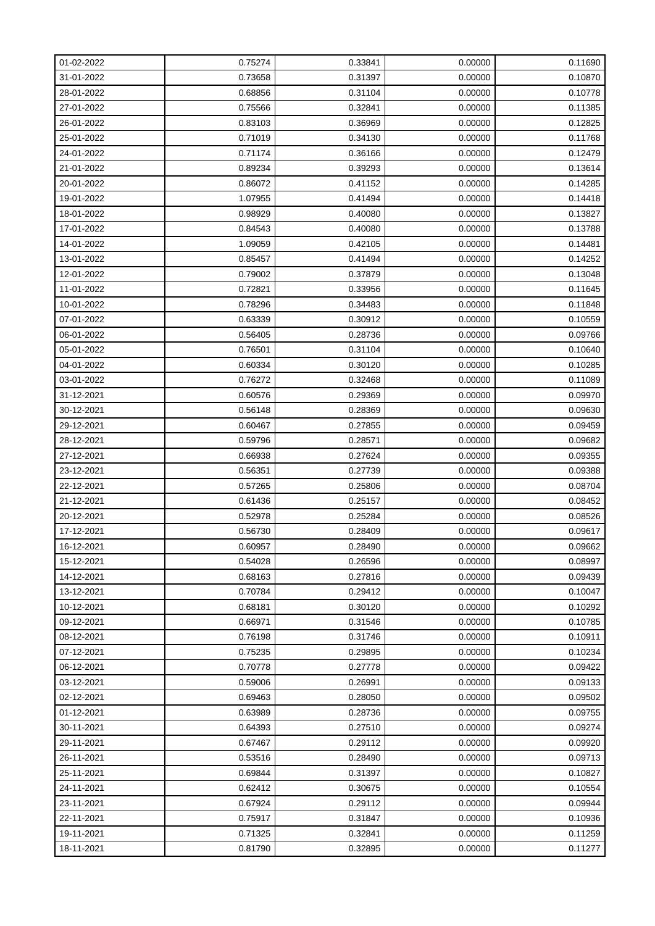| 01-02-2022 | 0.75274 | 0.33841 | 0.00000 | 0.11690 |
|------------|---------|---------|---------|---------|
| 31-01-2022 | 0.73658 | 0.31397 | 0.00000 | 0.10870 |
| 28-01-2022 | 0.68856 | 0.31104 | 0.00000 | 0.10778 |
| 27-01-2022 | 0.75566 | 0.32841 | 0.00000 | 0.11385 |
| 26-01-2022 | 0.83103 | 0.36969 | 0.00000 | 0.12825 |
| 25-01-2022 | 0.71019 | 0.34130 | 0.00000 | 0.11768 |
| 24-01-2022 | 0.71174 | 0.36166 | 0.00000 | 0.12479 |
| 21-01-2022 | 0.89234 | 0.39293 | 0.00000 | 0.13614 |
| 20-01-2022 | 0.86072 | 0.41152 | 0.00000 | 0.14285 |
| 19-01-2022 | 1.07955 | 0.41494 | 0.00000 | 0.14418 |
| 18-01-2022 | 0.98929 | 0.40080 | 0.00000 | 0.13827 |
| 17-01-2022 | 0.84543 | 0.40080 | 0.00000 | 0.13788 |
| 14-01-2022 | 1.09059 | 0.42105 | 0.00000 | 0.14481 |
| 13-01-2022 | 0.85457 | 0.41494 | 0.00000 | 0.14252 |
| 12-01-2022 | 0.79002 | 0.37879 | 0.00000 | 0.13048 |
| 11-01-2022 | 0.72821 | 0.33956 | 0.00000 | 0.11645 |
| 10-01-2022 | 0.78296 | 0.34483 | 0.00000 | 0.11848 |
| 07-01-2022 | 0.63339 | 0.30912 | 0.00000 | 0.10559 |
| 06-01-2022 | 0.56405 | 0.28736 | 0.00000 | 0.09766 |
| 05-01-2022 | 0.76501 | 0.31104 | 0.00000 | 0.10640 |
| 04-01-2022 | 0.60334 | 0.30120 | 0.00000 | 0.10285 |
| 03-01-2022 | 0.76272 | 0.32468 | 0.00000 | 0.11089 |
| 31-12-2021 | 0.60576 | 0.29369 | 0.00000 | 0.09970 |
| 30-12-2021 | 0.56148 | 0.28369 | 0.00000 | 0.09630 |
| 29-12-2021 | 0.60467 | 0.27855 | 0.00000 | 0.09459 |
| 28-12-2021 | 0.59796 | 0.28571 | 0.00000 | 0.09682 |
| 27-12-2021 | 0.66938 | 0.27624 | 0.00000 | 0.09355 |
| 23-12-2021 | 0.56351 | 0.27739 | 0.00000 | 0.09388 |
| 22-12-2021 | 0.57265 | 0.25806 | 0.00000 | 0.08704 |
| 21-12-2021 | 0.61436 | 0.25157 | 0.00000 | 0.08452 |
| 20-12-2021 | 0.52978 | 0.25284 | 0.00000 | 0.08526 |
| 17-12-2021 | 0.56730 | 0.28409 | 0.00000 | 0.09617 |
| 16-12-2021 | 0.60957 | 0.28490 | 0.00000 | 0.09662 |
| 15-12-2021 | 0.54028 | 0.26596 | 0.00000 | 0.08997 |
| 14-12-2021 | 0.68163 | 0.27816 | 0.00000 | 0.09439 |
| 13-12-2021 | 0.70784 | 0.29412 | 0.00000 | 0.10047 |
| 10-12-2021 | 0.68181 | 0.30120 | 0.00000 | 0.10292 |
| 09-12-2021 | 0.66971 | 0.31546 | 0.00000 | 0.10785 |
| 08-12-2021 | 0.76198 | 0.31746 | 0.00000 | 0.10911 |
| 07-12-2021 | 0.75235 | 0.29895 | 0.00000 | 0.10234 |
| 06-12-2021 | 0.70778 | 0.27778 | 0.00000 | 0.09422 |
| 03-12-2021 | 0.59006 | 0.26991 | 0.00000 | 0.09133 |
| 02-12-2021 | 0.69463 | 0.28050 | 0.00000 | 0.09502 |
| 01-12-2021 | 0.63989 | 0.28736 | 0.00000 | 0.09755 |
| 30-11-2021 | 0.64393 | 0.27510 | 0.00000 | 0.09274 |
| 29-11-2021 | 0.67467 | 0.29112 | 0.00000 | 0.09920 |
| 26-11-2021 | 0.53516 | 0.28490 | 0.00000 | 0.09713 |
| 25-11-2021 | 0.69844 | 0.31397 | 0.00000 | 0.10827 |
| 24-11-2021 | 0.62412 | 0.30675 | 0.00000 | 0.10554 |
| 23-11-2021 | 0.67924 | 0.29112 | 0.00000 | 0.09944 |
| 22-11-2021 | 0.75917 | 0.31847 | 0.00000 | 0.10936 |
| 19-11-2021 | 0.71325 | 0.32841 | 0.00000 | 0.11259 |
| 18-11-2021 | 0.81790 | 0.32895 | 0.00000 | 0.11277 |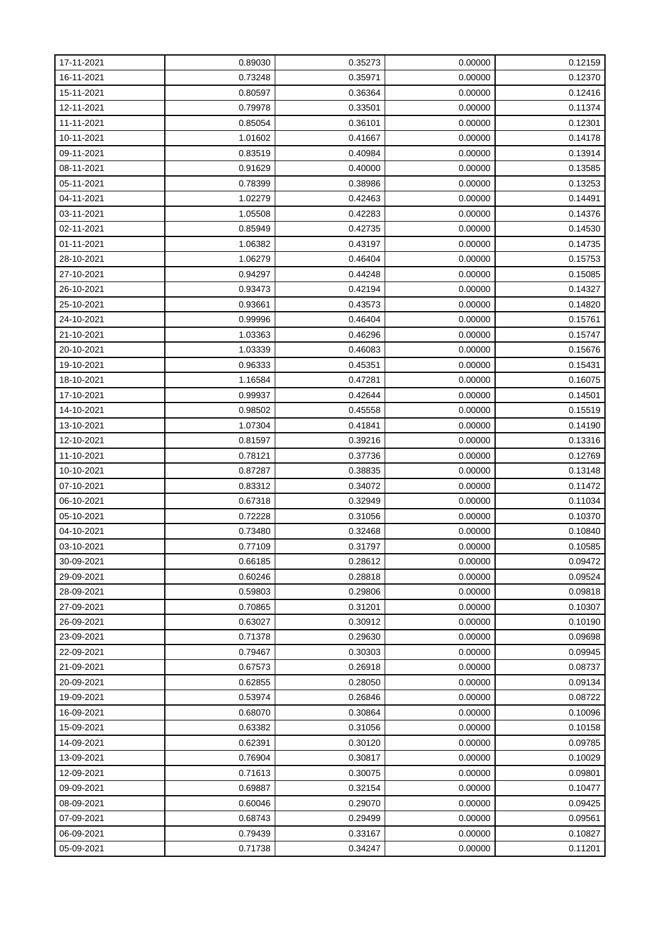| 17-11-2021 | 0.89030 | 0.35273 | 0.00000 | 0.12159 |
|------------|---------|---------|---------|---------|
| 16-11-2021 | 0.73248 | 0.35971 | 0.00000 | 0.12370 |
| 15-11-2021 | 0.80597 | 0.36364 | 0.00000 | 0.12416 |
| 12-11-2021 | 0.79978 | 0.33501 | 0.00000 | 0.11374 |
| 11-11-2021 | 0.85054 | 0.36101 | 0.00000 | 0.12301 |
| 10-11-2021 | 1.01602 | 0.41667 | 0.00000 | 0.14178 |
| 09-11-2021 | 0.83519 | 0.40984 | 0.00000 | 0.13914 |
| 08-11-2021 | 0.91629 | 0.40000 | 0.00000 | 0.13585 |
| 05-11-2021 | 0.78399 | 0.38986 | 0.00000 | 0.13253 |
| 04-11-2021 | 1.02279 | 0.42463 | 0.00000 | 0.14491 |
| 03-11-2021 | 1.05508 | 0.42283 | 0.00000 | 0.14376 |
| 02-11-2021 | 0.85949 | 0.42735 | 0.00000 | 0.14530 |
| 01-11-2021 | 1.06382 | 0.43197 | 0.00000 | 0.14735 |
| 28-10-2021 | 1.06279 | 0.46404 | 0.00000 | 0.15753 |
| 27-10-2021 | 0.94297 | 0.44248 | 0.00000 | 0.15085 |
| 26-10-2021 | 0.93473 | 0.42194 | 0.00000 | 0.14327 |
| 25-10-2021 | 0.93661 | 0.43573 | 0.00000 | 0.14820 |
| 24-10-2021 | 0.99996 | 0.46404 | 0.00000 | 0.15761 |
| 21-10-2021 | 1.03363 | 0.46296 | 0.00000 | 0.15747 |
| 20-10-2021 | 1.03339 | 0.46083 | 0.00000 | 0.15676 |
| 19-10-2021 | 0.96333 | 0.45351 | 0.00000 | 0.15431 |
| 18-10-2021 | 1.16584 | 0.47281 | 0.00000 | 0.16075 |
| 17-10-2021 | 0.99937 | 0.42644 | 0.00000 | 0.14501 |
| 14-10-2021 | 0.98502 | 0.45558 | 0.00000 | 0.15519 |
| 13-10-2021 | 1.07304 | 0.41841 | 0.00000 | 0.14190 |
| 12-10-2021 | 0.81597 | 0.39216 | 0.00000 | 0.13316 |
| 11-10-2021 | 0.78121 | 0.37736 | 0.00000 | 0.12769 |
| 10-10-2021 | 0.87287 | 0.38835 | 0.00000 | 0.13148 |
| 07-10-2021 | 0.83312 | 0.34072 | 0.00000 | 0.11472 |
| 06-10-2021 | 0.67318 | 0.32949 | 0.00000 | 0.11034 |
| 05-10-2021 | 0.72228 | 0.31056 | 0.00000 | 0.10370 |
| 04-10-2021 | 0.73480 | 0.32468 | 0.00000 | 0.10840 |
| 03-10-2021 | 0.77109 | 0.31797 | 0.00000 | 0.10585 |
| 30-09-2021 | 0.66185 | 0.28612 | 0.00000 | 0.09472 |
| 29-09-2021 | 0.60246 | 0.28818 | 0.00000 | 0.09524 |
| 28-09-2021 | 0.59803 | 0.29806 | 0.00000 | 0.09818 |
| 27-09-2021 | 0.70865 | 0.31201 | 0.00000 | 0.10307 |
| 26-09-2021 | 0.63027 | 0.30912 | 0.00000 | 0.10190 |
| 23-09-2021 | 0.71378 | 0.29630 | 0.00000 | 0.09698 |
| 22-09-2021 | 0.79467 | 0.30303 | 0.00000 | 0.09945 |
| 21-09-2021 | 0.67573 | 0.26918 | 0.00000 | 0.08737 |
| 20-09-2021 | 0.62855 | 0.28050 | 0.00000 | 0.09134 |
| 19-09-2021 | 0.53974 | 0.26846 | 0.00000 | 0.08722 |
| 16-09-2021 | 0.68070 | 0.30864 | 0.00000 | 0.10096 |
| 15-09-2021 | 0.63382 | 0.31056 | 0.00000 | 0.10158 |
| 14-09-2021 | 0.62391 | 0.30120 | 0.00000 | 0.09785 |
| 13-09-2021 | 0.76904 | 0.30817 | 0.00000 | 0.10029 |
| 12-09-2021 | 0.71613 | 0.30075 | 0.00000 | 0.09801 |
| 09-09-2021 | 0.69887 | 0.32154 | 0.00000 | 0.10477 |
| 08-09-2021 | 0.60046 | 0.29070 | 0.00000 | 0.09425 |
| 07-09-2021 | 0.68743 | 0.29499 | 0.00000 | 0.09561 |
| 06-09-2021 | 0.79439 | 0.33167 | 0.00000 | 0.10827 |
| 05-09-2021 | 0.71738 | 0.34247 | 0.00000 | 0.11201 |